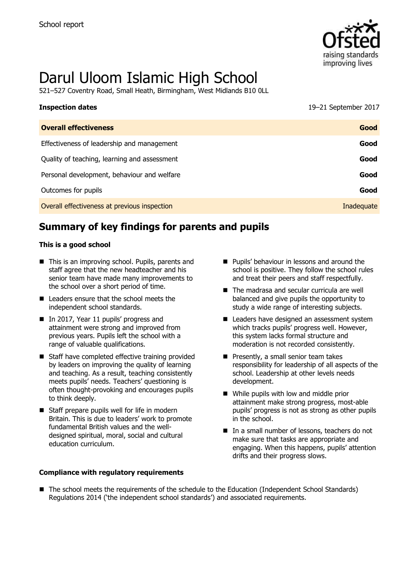

# Darul Uloom Islamic High School

521–527 Coventry Road, Small Heath, Birmingham, West Midlands B10 0LL

| <b>Inspection dates</b>                      | 19-21 September 2017 |
|----------------------------------------------|----------------------|
| <b>Overall effectiveness</b>                 | Good                 |
| Effectiveness of leadership and management   | Good                 |
| Quality of teaching, learning and assessment | Good                 |
| Personal development, behaviour and welfare  | Good                 |
| Outcomes for pupils                          | Good                 |
| Overall effectiveness at previous inspection | Inadequate           |

# **Summary of key findings for parents and pupils**

#### **This is a good school**

- This is an improving school. Pupils, parents and staff agree that the new headteacher and his senior team have made many improvements to the school over a short period of time.
- Leaders ensure that the school meets the independent school standards.
- In 2017, Year 11 pupils' progress and attainment were strong and improved from previous years. Pupils left the school with a range of valuable qualifications.
- Staff have completed effective training provided by leaders on improving the quality of learning and teaching. As a result, teaching consistently meets pupils' needs. Teachers' questioning is often thought-provoking and encourages pupils to think deeply.
- Staff prepare pupils well for life in modern Britain. This is due to leaders' work to promote fundamental British values and the welldesigned spiritual, moral, social and cultural education curriculum.

#### **Compliance with regulatory requirements**

- **Pupils' behaviour in lessons and around the** school is positive. They follow the school rules and treat their peers and staff respectfully.
- The madrasa and secular curricula are well balanced and give pupils the opportunity to study a wide range of interesting subjects.
- Leaders have designed an assessment system which tracks pupils' progress well. However, this system lacks formal structure and moderation is not recorded consistently.
- $\blacksquare$  Presently, a small senior team takes responsibility for leadership of all aspects of the school. Leadership at other levels needs development.
- While pupils with low and middle prior attainment make strong progress, most-able pupils' progress is not as strong as other pupils in the school.
- In a small number of lessons, teachers do not make sure that tasks are appropriate and engaging. When this happens, pupils' attention drifts and their progress slows.
- The school meets the requirements of the schedule to the Education (Independent School Standards) Regulations 2014 ('the independent school standards') and associated requirements.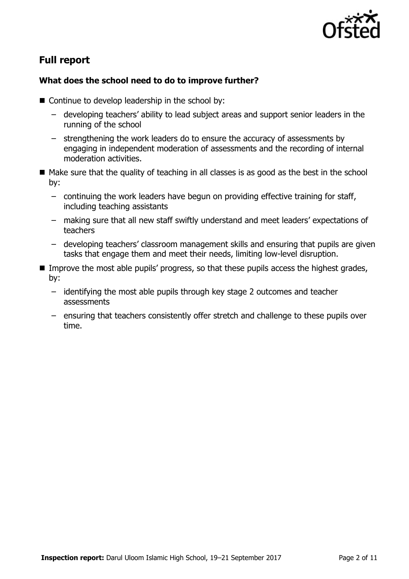

# **Full report**

#### **What does the school need to do to improve further?**

- Continue to develop leadership in the school by:
	- developing teachers' ability to lead subject areas and support senior leaders in the running of the school
	- strengthening the work leaders do to ensure the accuracy of assessments by engaging in independent moderation of assessments and the recording of internal moderation activities.
- $\blacksquare$  Make sure that the quality of teaching in all classes is as good as the best in the school by:
	- continuing the work leaders have begun on providing effective training for staff, including teaching assistants
	- making sure that all new staff swiftly understand and meet leaders' expectations of teachers
	- developing teachers' classroom management skills and ensuring that pupils are given tasks that engage them and meet their needs, limiting low-level disruption.
- Improve the most able pupils' progress, so that these pupils access the highest grades, by:
	- identifying the most able pupils through key stage 2 outcomes and teacher assessments
	- ensuring that teachers consistently offer stretch and challenge to these pupils over time.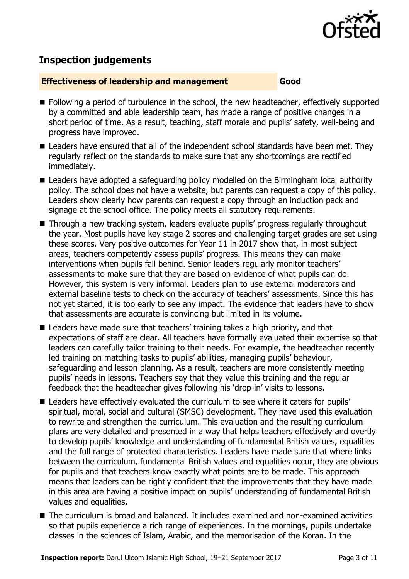

# **Inspection judgements**

#### **Effectiveness of leadership and management Good**

- **Following a period of turbulence in the school, the new headteacher, effectively supported** by a committed and able leadership team, has made a range of positive changes in a short period of time. As a result, teaching, staff morale and pupils' safety, well-being and progress have improved.
- Leaders have ensured that all of the independent school standards have been met. They regularly reflect on the standards to make sure that any shortcomings are rectified immediately.
- Leaders have adopted a safeguarding policy modelled on the Birmingham local authority policy. The school does not have a website, but parents can request a copy of this policy. Leaders show clearly how parents can request a copy through an induction pack and signage at the school office. The policy meets all statutory requirements.
- Through a new tracking system, leaders evaluate pupils' progress regularly throughout the year. Most pupils have key stage 2 scores and challenging target grades are set using these scores. Very positive outcomes for Year 11 in 2017 show that, in most subject areas, teachers competently assess pupils' progress. This means they can make interventions when pupils fall behind. Senior leaders regularly monitor teachers' assessments to make sure that they are based on evidence of what pupils can do. However, this system is very informal. Leaders plan to use external moderators and external baseline tests to check on the accuracy of teachers' assessments. Since this has not yet started, it is too early to see any impact. The evidence that leaders have to show that assessments are accurate is convincing but limited in its volume.
- Leaders have made sure that teachers' training takes a high priority, and that expectations of staff are clear. All teachers have formally evaluated their expertise so that leaders can carefully tailor training to their needs. For example, the headteacher recently led training on matching tasks to pupils' abilities, managing pupils' behaviour, safeguarding and lesson planning. As a result, teachers are more consistently meeting pupils' needs in lessons. Teachers say that they value this training and the regular feedback that the headteacher gives following his 'drop-in' visits to lessons.
- Leaders have effectively evaluated the curriculum to see where it caters for pupils' spiritual, moral, social and cultural (SMSC) development. They have used this evaluation to rewrite and strengthen the curriculum. This evaluation and the resulting curriculum plans are very detailed and presented in a way that helps teachers effectively and overtly to develop pupils' knowledge and understanding of fundamental British values, equalities and the full range of protected characteristics. Leaders have made sure that where links between the curriculum, fundamental British values and equalities occur, they are obvious for pupils and that teachers know exactly what points are to be made. This approach means that leaders can be rightly confident that the improvements that they have made in this area are having a positive impact on pupils' understanding of fundamental British values and equalities.
- The curriculum is broad and balanced. It includes examined and non-examined activities so that pupils experience a rich range of experiences. In the mornings, pupils undertake classes in the sciences of Islam, Arabic, and the memorisation of the Koran. In the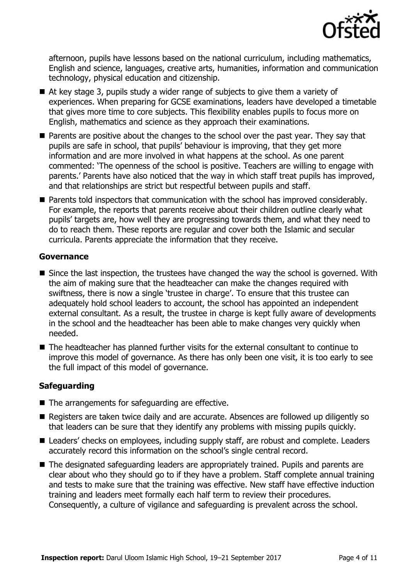

afternoon, pupils have lessons based on the national curriculum, including mathematics, English and science, languages, creative arts, humanities, information and communication technology, physical education and citizenship.

- At key stage 3, pupils study a wider range of subjects to give them a variety of experiences. When preparing for GCSE examinations, leaders have developed a timetable that gives more time to core subjects. This flexibility enables pupils to focus more on English, mathematics and science as they approach their examinations.
- **Parents are positive about the changes to the school over the past year. They say that** pupils are safe in school, that pupils' behaviour is improving, that they get more information and are more involved in what happens at the school. As one parent commented: 'The openness of the school is positive. Teachers are willing to engage with parents.' Parents have also noticed that the way in which staff treat pupils has improved, and that relationships are strict but respectful between pupils and staff.
- Parents told inspectors that communication with the school has improved considerably. For example, the reports that parents receive about their children outline clearly what pupils' targets are, how well they are progressing towards them, and what they need to do to reach them. These reports are regular and cover both the Islamic and secular curricula. Parents appreciate the information that they receive.

#### **Governance**

- Since the last inspection, the trustees have changed the way the school is governed. With the aim of making sure that the headteacher can make the changes required with swiftness, there is now a single 'trustee in charge'. To ensure that this trustee can adequately hold school leaders to account, the school has appointed an independent external consultant. As a result, the trustee in charge is kept fully aware of developments in the school and the headteacher has been able to make changes very quickly when needed.
- The headteacher has planned further visits for the external consultant to continue to improve this model of governance. As there has only been one visit, it is too early to see the full impact of this model of governance.

#### **Safeguarding**

- The arrangements for safeguarding are effective.
- Registers are taken twice daily and are accurate. Absences are followed up diligently so that leaders can be sure that they identify any problems with missing pupils quickly.
- Leaders' checks on employees, including supply staff, are robust and complete. Leaders accurately record this information on the school's single central record.
- The designated safeguarding leaders are appropriately trained. Pupils and parents are clear about who they should go to if they have a problem. Staff complete annual training and tests to make sure that the training was effective. New staff have effective induction training and leaders meet formally each half term to review their procedures. Consequently, a culture of vigilance and safeguarding is prevalent across the school.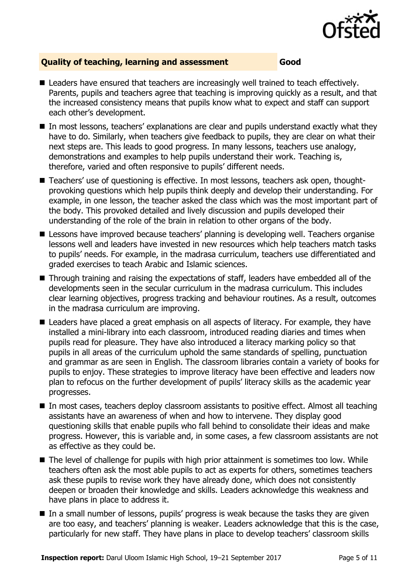

### **Quality of teaching, learning and assessment Good**

- Leaders have ensured that teachers are increasingly well trained to teach effectively. Parents, pupils and teachers agree that teaching is improving quickly as a result, and that the increased consistency means that pupils know what to expect and staff can support each other's development.
- In most lessons, teachers' explanations are clear and pupils understand exactly what they have to do. Similarly, when teachers give feedback to pupils, they are clear on what their next steps are. This leads to good progress. In many lessons, teachers use analogy, demonstrations and examples to help pupils understand their work. Teaching is, therefore, varied and often responsive to pupils' different needs.
- Teachers' use of questioning is effective. In most lessons, teachers ask open, thoughtprovoking questions which help pupils think deeply and develop their understanding. For example, in one lesson, the teacher asked the class which was the most important part of the body. This provoked detailed and lively discussion and pupils developed their understanding of the role of the brain in relation to other organs of the body.
- **E** Lessons have improved because teachers' planning is developing well. Teachers organise lessons well and leaders have invested in new resources which help teachers match tasks to pupils' needs. For example, in the madrasa curriculum, teachers use differentiated and graded exercises to teach Arabic and Islamic sciences.
- Through training and raising the expectations of staff, leaders have embedded all of the developments seen in the secular curriculum in the madrasa curriculum. This includes clear learning objectives, progress tracking and behaviour routines. As a result, outcomes in the madrasa curriculum are improving.
- Leaders have placed a great emphasis on all aspects of literacy. For example, they have installed a mini-library into each classroom, introduced reading diaries and times when pupils read for pleasure. They have also introduced a literacy marking policy so that pupils in all areas of the curriculum uphold the same standards of spelling, punctuation and grammar as are seen in English. The classroom libraries contain a variety of books for pupils to enjoy. These strategies to improve literacy have been effective and leaders now plan to refocus on the further development of pupils' literacy skills as the academic year progresses.
- In most cases, teachers deploy classroom assistants to positive effect. Almost all teaching assistants have an awareness of when and how to intervene. They display good questioning skills that enable pupils who fall behind to consolidate their ideas and make progress. However, this is variable and, in some cases, a few classroom assistants are not as effective as they could be.
- The level of challenge for pupils with high prior attainment is sometimes too low. While teachers often ask the most able pupils to act as experts for others, sometimes teachers ask these pupils to revise work they have already done, which does not consistently deepen or broaden their knowledge and skills. Leaders acknowledge this weakness and have plans in place to address it.
- In a small number of lessons, pupils' progress is weak because the tasks they are given are too easy, and teachers' planning is weaker. Leaders acknowledge that this is the case, particularly for new staff. They have plans in place to develop teachers' classroom skills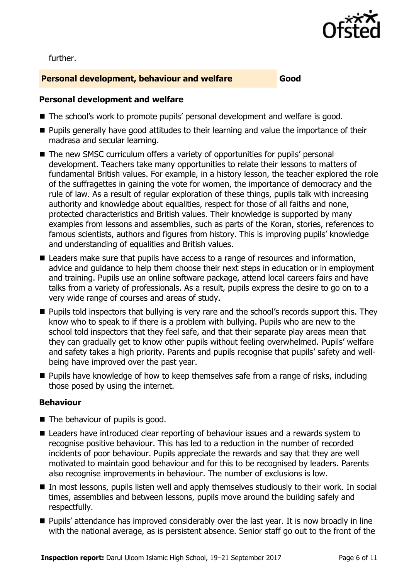

further.

#### **Personal development, behaviour and welfare Good**

#### **Personal development and welfare**

- The school's work to promote pupils' personal development and welfare is good.
- **Pupils generally have good attitudes to their learning and value the importance of their** madrasa and secular learning.
- The new SMSC curriculum offers a variety of opportunities for pupils' personal development. Teachers take many opportunities to relate their lessons to matters of fundamental British values. For example, in a history lesson, the teacher explored the role of the suffragettes in gaining the vote for women, the importance of democracy and the rule of law. As a result of regular exploration of these things, pupils talk with increasing authority and knowledge about equalities, respect for those of all faiths and none, protected characteristics and British values. Their knowledge is supported by many examples from lessons and assemblies, such as parts of the Koran, stories, references to famous scientists, authors and figures from history. This is improving pupils' knowledge and understanding of equalities and British values.
- Leaders make sure that pupils have access to a range of resources and information, advice and guidance to help them choose their next steps in education or in employment and training. Pupils use an online software package, attend local careers fairs and have talks from a variety of professionals. As a result, pupils express the desire to go on to a very wide range of courses and areas of study.
- **Pupils told inspectors that bullying is very rare and the school's records support this. They** know who to speak to if there is a problem with bullying. Pupils who are new to the school told inspectors that they feel safe, and that their separate play areas mean that they can gradually get to know other pupils without feeling overwhelmed. Pupils' welfare and safety takes a high priority. Parents and pupils recognise that pupils' safety and wellbeing have improved over the past year.
- **Pupils have knowledge of how to keep themselves safe from a range of risks, including** those posed by using the internet.

#### **Behaviour**

- The behaviour of pupils is good.
- Leaders have introduced clear reporting of behaviour issues and a rewards system to recognise positive behaviour. This has led to a reduction in the number of recorded incidents of poor behaviour. Pupils appreciate the rewards and say that they are well motivated to maintain good behaviour and for this to be recognised by leaders. Parents also recognise improvements in behaviour. The number of exclusions is low.
- In most lessons, pupils listen well and apply themselves studiously to their work. In social times, assemblies and between lessons, pupils move around the building safely and respectfully.
- Pupils' attendance has improved considerably over the last year. It is now broadly in line with the national average, as is persistent absence. Senior staff go out to the front of the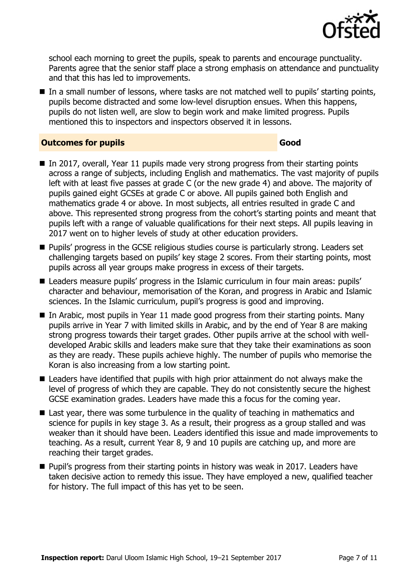

school each morning to greet the pupils, speak to parents and encourage punctuality. Parents agree that the senior staff place a strong emphasis on attendance and punctuality and that this has led to improvements.

In a small number of lessons, where tasks are not matched well to pupils' starting points, pupils become distracted and some low-level disruption ensues. When this happens, pupils do not listen well, are slow to begin work and make limited progress. Pupils mentioned this to inspectors and inspectors observed it in lessons.

#### **Outcomes for pupils Good**

- $\blacksquare$  In 2017, overall, Year 11 pupils made very strong progress from their starting points across a range of subjects, including English and mathematics. The vast majority of pupils left with at least five passes at grade C (or the new grade 4) and above. The majority of pupils gained eight GCSEs at grade C or above. All pupils gained both English and mathematics grade 4 or above. In most subjects, all entries resulted in grade C and above. This represented strong progress from the cohort's starting points and meant that pupils left with a range of valuable qualifications for their next steps. All pupils leaving in 2017 went on to higher levels of study at other education providers.
- **Pupils' progress in the GCSE religious studies course is particularly strong. Leaders set** challenging targets based on pupils' key stage 2 scores. From their starting points, most pupils across all year groups make progress in excess of their targets.
- Leaders measure pupils' progress in the Islamic curriculum in four main areas: pupils' character and behaviour, memorisation of the Koran, and progress in Arabic and Islamic sciences. In the Islamic curriculum, pupil's progress is good and improving.
- $\blacksquare$  In Arabic, most pupils in Year 11 made good progress from their starting points. Many pupils arrive in Year 7 with limited skills in Arabic, and by the end of Year 8 are making strong progress towards their target grades. Other pupils arrive at the school with welldeveloped Arabic skills and leaders make sure that they take their examinations as soon as they are ready. These pupils achieve highly. The number of pupils who memorise the Koran is also increasing from a low starting point.
- Leaders have identified that pupils with high prior attainment do not always make the level of progress of which they are capable. They do not consistently secure the highest GCSE examination grades. Leaders have made this a focus for the coming year.
- Last year, there was some turbulence in the quality of teaching in mathematics and science for pupils in key stage 3. As a result, their progress as a group stalled and was weaker than it should have been. Leaders identified this issue and made improvements to teaching. As a result, current Year 8, 9 and 10 pupils are catching up, and more are reaching their target grades.
- **Pupil's progress from their starting points in history was weak in 2017. Leaders have** taken decisive action to remedy this issue. They have employed a new, qualified teacher for history. The full impact of this has yet to be seen.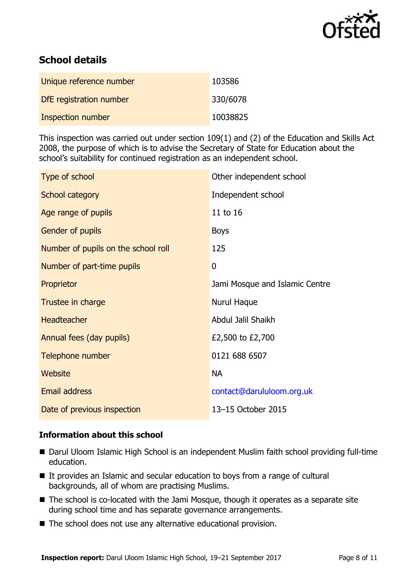

# **School details**

| Unique reference number | 103586   |
|-------------------------|----------|
| DfE registration number | 330/6078 |
| Inspection number       | 10038825 |

This inspection was carried out under section 109(1) and (2) of the Education and Skills Act 2008, the purpose of which is to advise the Secretary of State for Education about the school's suitability for continued registration as an independent school.

| Type of school                      | Other independent school       |
|-------------------------------------|--------------------------------|
| School category                     | Independent school             |
| Age range of pupils                 | 11 to 16                       |
| <b>Gender of pupils</b>             | <b>Boys</b>                    |
| Number of pupils on the school roll | 125                            |
| Number of part-time pupils          | 0                              |
| Proprietor                          | Jami Mosque and Islamic Centre |
| Trustee in charge                   | Nurul Haque                    |
| Headteacher                         | Abdul Jalil Shaikh             |
| Annual fees (day pupils)            | £2,500 to £2,700               |
| Telephone number                    | 0121 688 6507                  |
| Website                             | <b>NA</b>                      |
| Email address                       | contact@darululoom.org.uk      |
| Date of previous inspection         | 13-15 October 2015             |

#### **Information about this school**

- Darul Uloom Islamic High School is an independent Muslim faith school providing full-time education.
- It provides an Islamic and secular education to boys from a range of cultural backgrounds, all of whom are practising Muslims.
- The school is co-located with the Jami Mosque, though it operates as a separate site during school time and has separate governance arrangements.
- The school does not use any alternative educational provision.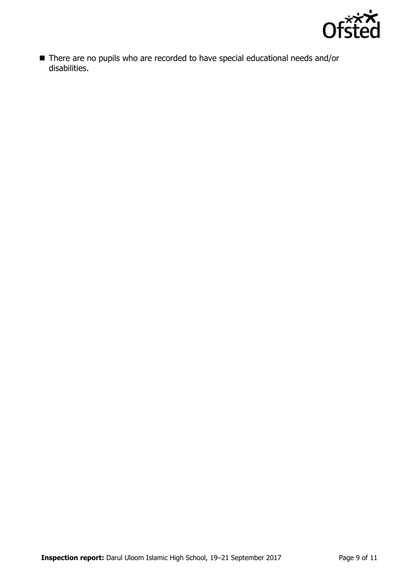

■ There are no pupils who are recorded to have special educational needs and/or disabilities.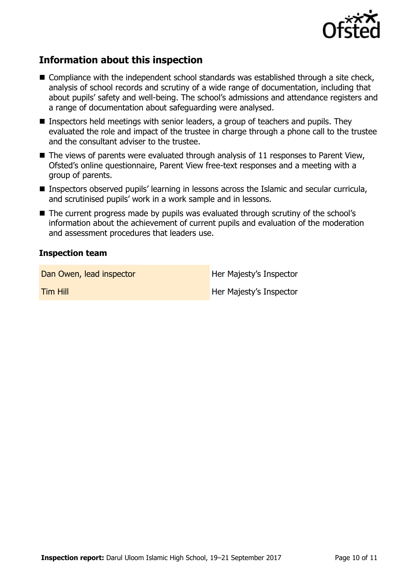

# **Information about this inspection**

- Compliance with the independent school standards was established through a site check, analysis of school records and scrutiny of a wide range of documentation, including that about pupils' safety and well-being. The school's admissions and attendance registers and a range of documentation about safeguarding were analysed.
- Inspectors held meetings with senior leaders, a group of teachers and pupils. They evaluated the role and impact of the trustee in charge through a phone call to the trustee and the consultant adviser to the trustee.
- $\blacksquare$  The views of parents were evaluated through analysis of 11 responses to Parent View, Ofsted's online questionnaire, Parent View free-text responses and a meeting with a group of parents.
- Inspectors observed pupils' learning in lessons across the Islamic and secular curricula, and scrutinised pupils' work in a work sample and in lessons.
- The current progress made by pupils was evaluated through scrutiny of the school's information about the achievement of current pupils and evaluation of the moderation and assessment procedures that leaders use.

#### **Inspection team**

Dan Owen, lead inspector **Exercise Server Addam** Her Majesty's Inspector

**Tim Hill Her Majesty's Inspector**